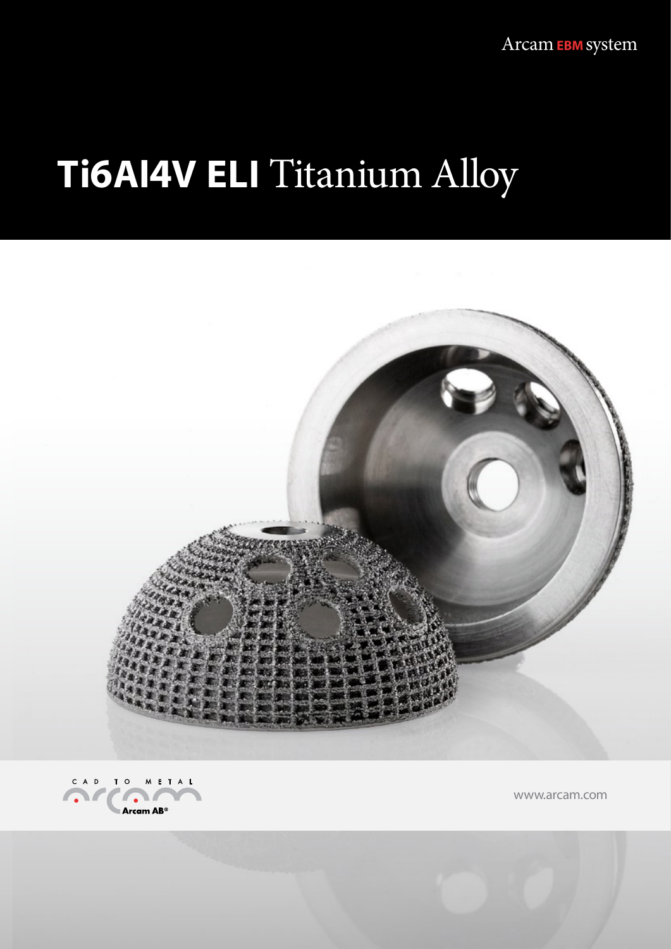Arcam EBM system

# **Ti6AI4V ELI Titanium Alloy**





www.arcam.com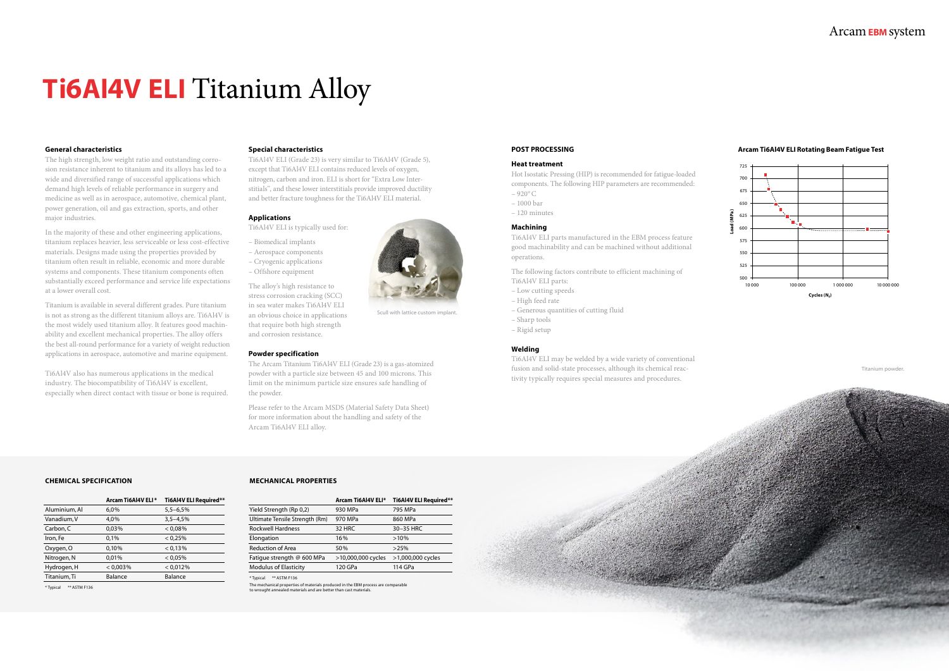### **General characteristics**

The high strength, low weight ratio and outstanding corrosion resistance inherent to titanium and its alloys has led to a wide and diversified range of successful applications which demand high levels of reliable performance in surgery and medicine as well as in aerospace, automotive, chemical plant, power generation, oil and gas extraction, sports, and other major industries.

In the majority of these and other engineering applications, titanium replaces heavier, less serviceable or less cost-effective materials. Designs made using the properties provided by titanium often result in reliable, economic and more durable systems and components. These titanium components often substantially exceed performance and service life expectations at a lower overall cost.

Titanium is available in several different grades. Pure titanium is not as strong as the different titanium alloys are. Ti6Al4V is the most widely used titanium alloy. It features good machinability and excellent mechanical properties. The alloy offers the best all-round performance for a variety of weight reduction applications in aerospace, automotive and marine equipment.

Hot Isostatic Pressing (HIP) is recommended for fatigue-loaded components. The following HIP parameters are recommended:  $-920^{\circ}$  C

Ti6Al4V also has numerous applications in the medical industry. The biocompatibility of Ti6Al4V is excellent, especially when direct contact with tissue or bone is required.

### Arcam**EBM** system

#### **Special characteristics**

Ti6Al4V ELI (Grade 23) is very similar to Ti6Al4V (Grade 5), except that Ti6Al4V ELI contains reduced levels of oxygen, nitrogen, carbon and iron. ELI is short for "Extra Low Interstitials", and these lower interstitials provide improved ductility and better fracture toughness for the Ti6Al4V ELI material.

#### **Applications**

Ti6Al4V ELI is typically used for:

- Biomedical implants
- Aerospace components
- Cryogenic applications
- Offshore equipment

The alloy's high resistance to stress corrosion cracking (SCC) in sea water makes Ti6Al4V ELI an obvious choice in applications that require both high strength and corrosion resistance.

#### **Powder specification**

The Arcam Titanium Ti6Al4V ELI (Grade 23) is a gas-atomized powder with a particle size between 45 and 100 microns. This limit on the minimum particle size ensures safe handling of the powder.

Please refer to the Arcam MSDS (Material Safety Data Sheet) for more information about the handling and safety of the Arcam Ti6Al4V ELI alloy.

## **Ti6Al4V ELI** Titanium Alloy

#### **POST PROCESSING**

#### **Heat treatment**

- 1000 bar
- 120 minutes

#### **Machining**

Ti6Al4V ELI parts manufactured in the EBM process feature good machinability and can be machined without additional operations.

The following factors contribute to efficient machining of Ti6Al4V ELI parts:

- Low cutting speeds
- High feed rate
- Generous quantities of cutting fluid

– Sharp tools – Rigid setup

#### **Welding**

Ti6Al4V ELI may be welded by a wide variety of conventional fusion and solid-state processes, although its chemical reactivity typically requires special measures and procedures.

#### **Arcam Ti6Al4V ELI Rotating Beam Fatigue Test**





Scull with lattice custom implant.

#### **CHEMICAL SPECIFICATION**

|               | Arcam Ti6Al4V ELI* | Ti6Al4V ELI Required** |
|---------------|--------------------|------------------------|
| Aluminium, Al | 6,0%               | $5,5 - 6,5%$           |
| Vanadium, V   | 4,0%               | $3,5 - 4,5%$           |
| Carbon, C     | 0,03%              | $< 0.08\%$             |
| Iron, Fe      | 0.1%               | < 0.25%                |
| Oxygen, O     | 0,10%              | < 0.13%                |
| Nitrogen, N   | 0,01%              | < 0.05%                |
| Hydrogen, H   | $< 0.003\%$        | < 0.012%               |
| Titanium, Ti  | Balance            | Balance                |
|               |                    |                        |

\* Typical \*\* ASTM F136

#### **MECHANICAL PROPERTIES**

|                                | Arcam Ti6Al4V ELI* | Ti6Al4V ELI Required** |
|--------------------------------|--------------------|------------------------|
| Yield Strength (Rp 0,2)        | 930 MPa            | 795 MPa                |
| Ultimate Tensile Strength (Rm) | 970 MPa            | 860 MPa                |
| <b>Rockwell Hardness</b>       | 32 HRC             | 30-35 HRC              |
| Elongation                     | 16%                | $>10\%$                |
| <b>Reduction of Area</b>       | 50%                | >25%                   |
| Fatigue strength @ 600 MPa     | >10,000,000 cycles | >1,000,000 cycles      |
| <b>Modulus of Elasticity</b>   | 120 GPa            | 114 GPa                |

\* Typical \*\* ASTM F136

The mechanical properties of materials produced in the EBM process are comparable to wrought annealed materials and are better than cast materials.



Titanium powder.